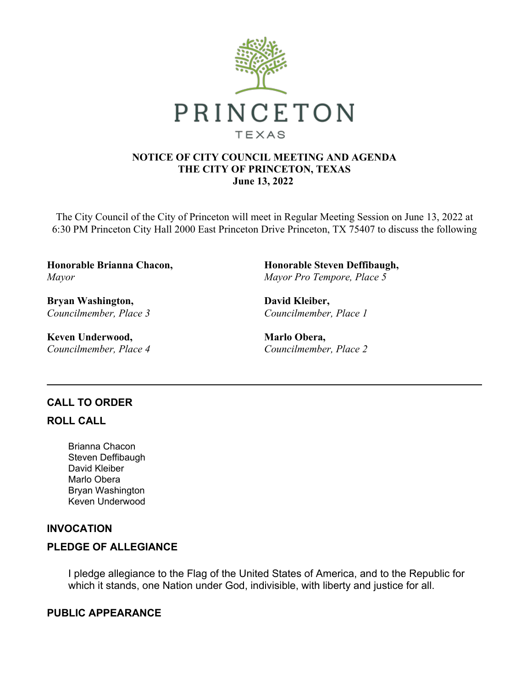

#### **NOTICE OF CITY COUNCIL MEETING AND AGENDA THE CITY OF PRINCETON, TEXAS June 13, 2022**

The City Council of the City of Princeton will meet in Regular Meeting Session on June 13, 2022 at 6:30 PM Princeton City Hall 2000 East Princeton Drive Princeton, TX 75407 to discuss the following

**Honorable Brianna Chacon,**  *Mayor*

**Bryan Washington,**  *Councilmember, Place 3*

**Keven Underwood,**  *Councilmember, Place 4* **Honorable Steven Deffibaugh,**  *Mayor Pro Tempore, Place 5*

**David Kleiber,**  *Councilmember, Place 1*

**Marlo Obera,**  *Councilmember, Place 2*

## **CALL TO ORDER**

## **ROLL CALL**

Brianna Chacon Steven Deffibaugh David Kleiber Marlo Obera Bryan Washington Keven Underwood

## **INVOCATION**

## **PLEDGE OF ALLEGIANCE**

I pledge allegiance to the Flag of the United States of America, and to the Republic for which it stands, one Nation under God, indivisible, with liberty and justice for all.

## **PUBLIC APPEARANCE**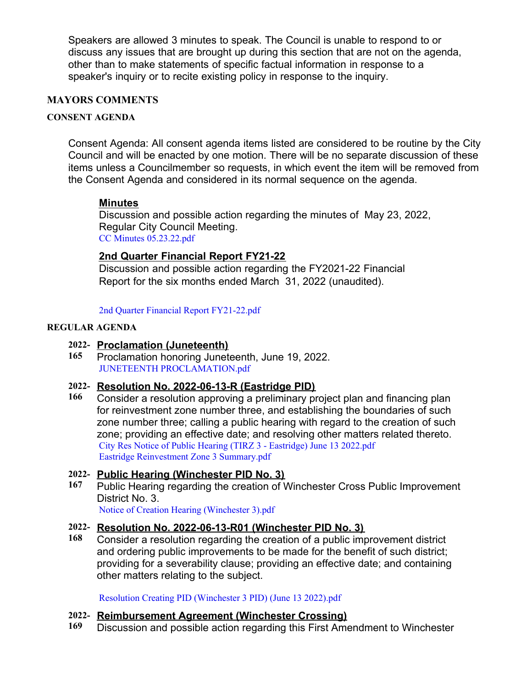Speakers are allowed 3 minutes to speak. The Council is unable to respond to or discuss any issues that are brought up during this section that are not on the agenda, other than to make statements of specific factual information in response to a speaker's inquiry or to recite existing policy in response to the inquiry.

## **MAYORS COMMENTS**

#### **CONSENT AGENDA**

Consent Agenda: All consent agenda items listed are considered to be routine by the City Council and will be enacted by one motion. There will be no separate discussion of these items unless a Councilmember so requests, in which event the item will be removed from the Consent Agenda and considered in its normal sequence on the agenda.

## **Minutes**

Discussion and possible action regarding the minutes of May 23, 2022, Regular City Council Meeting. [CC Minutes 05.23.22.pdf](https://legistarweb-production.s3.amazonaws.com/uploads/attachment/pdf/1413183/CC_Minutes_05.23.22.pdf)

## **2nd Quarter Financial Report FY21-22**

Discussion and possible action regarding the FY2021-22 Financial Report for the six months ended March 31, 2022 (unaudited).

[2nd Quarter Financial Report FY21-22.pdf](https://legistarweb-production.s3.amazonaws.com/uploads/attachment/pdf/1397055/2nd_Quarter_Financial_Report_FY21-22.pdf)

#### **REGULAR AGENDA**

#### **2022- Proclamation (Juneteenth)**

**165** Proclamation honoring Juneteenth, June 19, 2022. [JUNETEENTH PROCLAMATION.pdf](https://legistarweb-production.s3.amazonaws.com/uploads/attachment/pdf/1416008/JUNETEENTH_PROCLAMATION.pdf)

#### **2022- Resolution No. 2022-06-13-R (Eastridge PID)**

**166** Consider a resolution approving a preliminary project plan and financing plan for reinvestment zone number three, and establishing the boundaries of such zone number three; calling a public hearing with regard to the creation of such zone; providing an effective date; and resolving other matters related thereto. [City Res Notice of Public Hearing \(TIRZ 3 - Eastridge\) June 13 2022.pdf](https://legistarweb-production.s3.amazonaws.com/uploads/attachment/pdf/1413136/City_Res_Notice_of_Public_Hearing__TIRZ_3_-_Eastridge__June_13_2022.pdf) [Eastridge Reinvestment Zone 3 Summary.pdf](https://legistarweb-production.s3.amazonaws.com/uploads/attachment/pdf/1417275/Eastridge_Reinvestment_Zone_3_Summary.pdf)

## **2022- Public Hearing (Winchester PID No. 3)**

**167** Public Hearing regarding the creation of Winchester Cross Public Improvement District No. 3.

[Notice of Creation Hearing \(Winchester 3\).pdf](https://legistarweb-production.s3.amazonaws.com/uploads/attachment/pdf/1413135/Notice_of_Creation_Hearing__Winchester_3_.pdf)

#### **2022- Resolution No. 2022-06-13-R01 (Winchester PID No. 3)**

**168** Consider a resolution regarding the creation of a public improvement district and ordering public improvements to be made for the benefit of such district; providing for a severability clause; providing an effective date; and containing other matters relating to the subject.

[Resolution Creating PID \(Winchester 3 PID\) \(June 13 2022\).pdf](https://legistarweb-production.s3.amazonaws.com/uploads/attachment/pdf/1413140/Resolution_Creating_PID__Winchester_3_PID___June_13_2022_.pdf)

#### **2022- Reimbursement Agreement (Winchester Crossing)**

**169** Discussion and possible action regarding this First Amendment to Winchester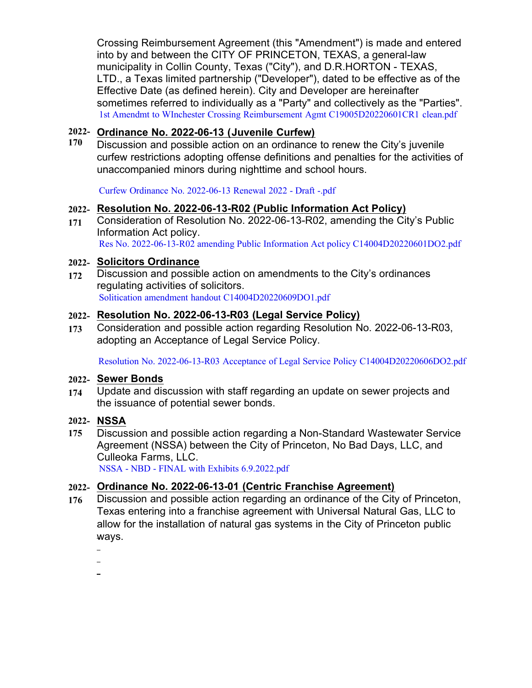Crossing Reimbursement Agreement (this "Amendment") is made and entered into by and between the CITY OF PRINCETON, TEXAS, a general-law municipality in Collin County, Texas ("City"), and D.R.HORTON - TEXAS, LTD., a Texas limited partnership ("Developer"), dated to be effective as of the Effective Date (as defined herein). City and Developer are hereinafter sometimes referred to individually as a "Party" and collectively as the "Parties". [1st Amendmt to WInchester Crossing Reimbursement Agmt C19005D20220601CR1 clean.pdf](https://legistarweb-production.s3.amazonaws.com/uploads/attachment/pdf/1413144/1st_Amendmt_to_WInchester_Crossing_Reimbursement_Agmt_C19005D20220601CR1_clean.pdf)

## **2022- Ordinance No. 2022-06-13 (Juvenile Curfew)**

**170** Discussion and possible action on an ordinance to renew the City's juvenile curfew restrictions adopting offense definitions and penalties for the activities of unaccompanied minors during nighttime and school hours.

[Curfew Ordinance No. 2022-06-13 Renewal 2022 - Draft -.pdf](https://legistarweb-production.s3.amazonaws.com/uploads/attachment/pdf/1413162/Curfew_Ordinance_No._2022-06-13_Renewal_2022_-_Draft_-.pdf)

## **2022- Resolution No. 2022-06-13-R02 (Public Information Act Policy)**

**171** Consideration of Resolution No. 2022-06-13-R02, amending the City's Public Information Act policy. [Res No. 2022-06-13-R02 amending Public Information Act policy C14004D20220601DO2.pdf](https://legistarweb-production.s3.amazonaws.com/uploads/attachment/pdf/1413152/Res_No._2022-06-13-R02_amending_Public_Information_Act_policy_C14004D20220601DO2.pdf)

## **2022- Solicitors Ordinance**

**172** Discussion and possible action on amendments to the City's ordinances regulating activities of solicitors. [Solitication amendment handout C14004D20220609DO1.pdf](https://legistarweb-production.s3.amazonaws.com/uploads/attachment/pdf/1419275/Solitication_amendment_handout_C14004D20220609DO1.pdf)

#### **2022- Resolution No. 2022-06-13-R03 (Legal Service Policy)**

**173** Consideration and possible action regarding Resolution No. 2022-06-13-R03, adopting an Acceptance of Legal Service Policy.

[Resolution No. 2022-06-13-R03 Acceptance of Legal Service Policy C14004D20220606DO2.pdf](https://legistarweb-production.s3.amazonaws.com/uploads/attachment/pdf/1413174/Resolution_No._2022-06-13-R03_Acceptance_of_Legal_Service_Policy_C14004D20220606DO2.pdf)

#### **2022- Sewer Bonds**

**174** Update and discussion with staff regarding an update on sewer projects and the issuance of potential sewer bonds.

## **2022- NSSA**

**175** Discussion and possible action regarding a Non-Standard Wastewater Service Agreement (NSSA) between the City of Princeton, No Bad Days, LLC, and Culleoka Farms, LLC.

[NSSA - NBD - FINAL with Exhibits 6.9.2022.pdf](https://legistarweb-production.s3.amazonaws.com/uploads/attachment/pdf/1418262/NSSA_-_NBD_-_FINAL_with_Exhibits_6.9.2022.pdf)

## **2022- Ordinance No. 2022-06-13-01 (Centric Franchise Agreement)**

- **176** Discussion and possible action regarding an ordinance of the City of Princeton, Texas entering into a franchise agreement with Universal Natural Gas, LLC to allow for the installation of natural gas systems in the City of Princeton public ways.
	-
	-
	-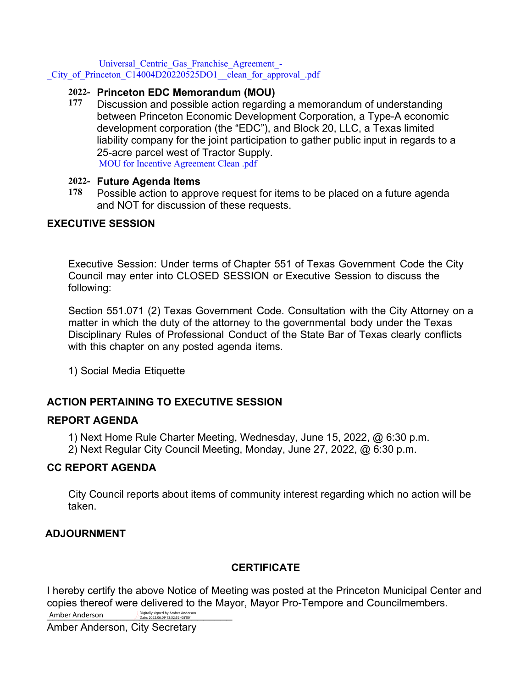Universal\_Centric\_Gas\_Franchise\_Agreement\_-

City of Princeton C14004D20220525DO1 clean for approval .pdf

## **2022- Princeton EDC Memorandum (MOU)**

**177** Discussion and possible action regarding a memorandum of understanding between Princeton Economic Development Corporation, a Type-A economic development corporation (the "EDC"), and Block 20, LLC, a Texas limited liability company for the joint participation to gather public input in regards to a 25-acre parcel west of Tractor Supply. [MOU for Incentive Agreement Clean .pdf](https://legistarweb-production.s3.amazonaws.com/uploads/attachment/pdf/1413732/MOU_for_Incentive_Agreement_Clean_.pdf)

## **2022- Future Agenda Items**

**178** Possible action to approve request for items to be placed on a future agenda and NOT for discussion of these requests.

# **EXECUTIVE SESSION**

Executive Session: Under terms of Chapter 551 of Texas Government Code the City Council may enter into CLOSED SESSION or Executive Session to discuss the following:

Section 551.071 (2) Texas Government Code. Consultation with the City Attorney on a matter in which the duty of the attorney to the governmental body under the Texas Disciplinary Rules of Professional Conduct of the State Bar of Texas clearly conflicts with this chapter on any posted agenda items.

1) Social Media Etiquette

# **ACTION PERTAINING TO EXECUTIVE SESSION**

## **REPORT AGENDA**

1) Next Home Rule Charter Meeting, Wednesday, June 15, 2022, @ 6:30 p.m.

2) Next Regular City Council Meeting, Monday, June 27, 2022, @ 6:30 p.m.

## **CC REPORT AGENDA**

City Council reports about items of community interest regarding which no action will be taken.

# **ADJOURNMENT**

# **CERTIFICATE**

I hereby certify the above Notice of Meeting was posted at the Princeton Municipal Center and copies thereof were delivered to the Mayor, Mayor Pro-Tempore and Councilmembers.

Amber Anderson Digitally signed by Amber Anderson **Amber Anderson** Digitally signed by Amber Anderson Date: 2022.06.09 13:52:52 -05'00'

Amber Anderson, City Secretary